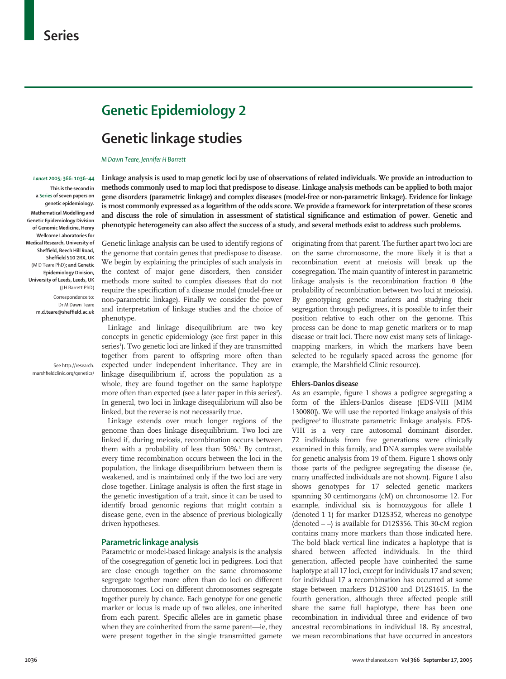# **Series**

# **Genetic Epidemiology 2**

# **Genetic linkage studies**

*M Dawn Teare, Jennifer H Barrett*

#### *Lancet* **2005; 366: 1036–44**

**This is the second in a Series of seven papers on genetic epidemiology. Mathematical Modelling and Genetic Epidemiology Division of Genomic Medicine, Henry Wellcome Laboratories for Medical Research, University of Sheffield, Beech Hill Road, Sheffield S10 2RX, UK** (M D Teare PhD)**; and Genetic Epidemiology Division, University of Leeds, Leeds, UK** (J H Barrett PhD)

> Correspondence to: Dr M Dawn Teare **m.d.teare@sheffield.ac.uk**

See http://research. marshfieldclinic.org/genetics/ **Linkage analysis is used to map genetic loci by use of observations of related individuals. We provide an introduction to methods commonly used to map loci that predispose to disease. Linkage analysis methods can be applied to both major gene disorders (parametric linkage) and complex diseases (model-free or non-parametric linkage). Evidence for linkage is most commonly expressed as a logarithm of the odds score. We provide a framework for interpretation of these scores and discuss the role of simulation in assessment of statistical significance and estimation of power. Genetic and phenotypic heterogeneity can also affect the success of a study, and several methods exist to address such problems.** 

Genetic linkage analysis can be used to identify regions of the genome that contain genes that predispose to disease. We begin by explaining the principles of such analysis in the context of major gene disorders, then consider methods more suited to complex diseases that do not require the specification of a disease model (model-free or non-parametric linkage). Finally we consider the power and interpretation of linkage studies and the choice of phenotype.

Linkage and linkage disequilibrium are two key concepts in genetic epidemiology (see first paper in this series<sup>1</sup>). Two genetic loci are linked if they are transmitted together from parent to offspring more often than expected under independent inheritance. They are in linkage disequilibrium if, across the population as a whole, they are found together on the same haplotype more often than expected (see a later paper in this series<sup>2</sup>). In general, two loci in linkage disequilibrium will also be linked, but the reverse is not necessarily true.

Linkage extends over much longer regions of the genome than does linkage disequilibrium. Two loci are linked if, during meiosis, recombination occurs between them with a probability of less than  $50\%$ .<sup>1</sup> By contrast, every time recombination occurs between the loci in the population, the linkage disequilibrium between them is weakened, and is maintained only if the two loci are very close together. Linkage analysis is often the first stage in the genetic investigation of a trait, since it can be used to identify broad genomic regions that might contain a disease gene, even in the absence of previous biologically driven hypotheses.

### **Parametric linkage analysis**

Parametric or model-based linkage analysis is the analysis of the cosegregation of genetic loci in pedigrees. Loci that are close enough together on the same chromosome segregate together more often than do loci on different chromosomes. Loci on different chromosomes segregate together purely by chance. Each genotype for one genetic marker or locus is made up of two alleles, one inherited from each parent. Specific alleles are in gametic phase when they are coinherited from the same parent—ie, they were present together in the single transmitted gamete

originating from that parent. The further apart two loci are on the same chromosome, the more likely it is that a recombination event at meiosis will break up the cosegregation. The main quantity of interest in parametric linkage analysis is the recombination fraction  $\theta$  (the probability of recombination between two loci at meiosis). By genotyping genetic markers and studying their segregation through pedigrees, it is possible to infer their position relative to each other on the genome. This process can be done to map genetic markers or to map disease or trait loci. There now exist many sets of linkagemapping markers, in which the markers have been selected to be regularly spaced across the genome (for example, the Marshfield Clinic resource).

# **Ehlers-Danlos disease**

As an example, figure 1 shows a pedigree segregating a form of the Ehlers-Danlos disease (EDS-VIII [MIM 130080]). We will use the reported linkage analysis of this pedigree3 to illustrate parametric linkage analysis. EDS-VIII is a very rare autosomal dominant disorder. 72 individuals from five generations were clinically examined in this family, and DNA samples were available for genetic analysis from 19 of them. Figure 1 shows only those parts of the pedigree segregating the disease (ie, many unaffected individuals are not shown). Figure 1 also shows genotypes for 17 selected genetic markers spanning 30 centimorgans (cM) on chromosome 12. For example, individual six is homozygous for allele 1 (denoted 1 1) for marker D12S352, whereas no genotype (denoted – –) is available for D12S356. This 30-cM region contains many more markers than those indicated here. The bold black vertical line indicates a haplotype that is shared between affected individuals. In the third generation, affected people have coinherited the same haplotype at all 17 loci, except for individuals 17 and seven; for individual 17 a recombination has occurred at some stage between markers D12S100 and D12S1615. In the fourth generation, although three affected people still share the same full haplotype, there has been one recombination in individual three and evidence of two ancestral recombinations in individual 18. By ancestral, we mean recombinations that have occurred in ancestors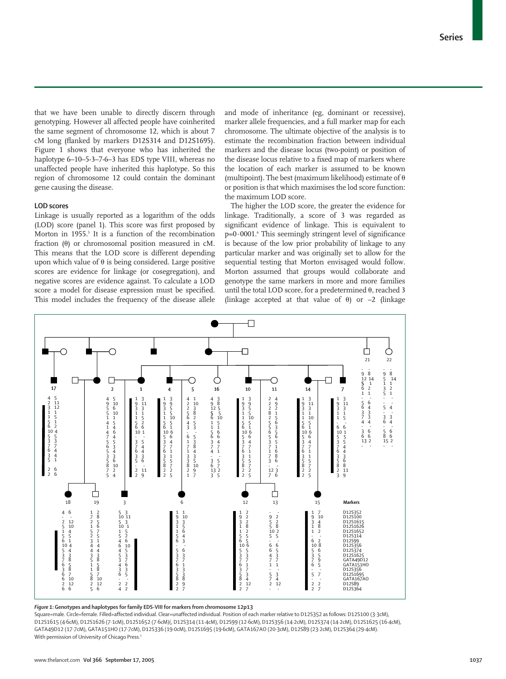that we have been unable to directly discern through genotyping. However all affected people have coinherited the same segment of chromosome 12, which is about 7 cM long (flanked by markers D12S314 and D12S1695). Figure 1 shows that everyone who has inherited the haplotype 6–10–5-3–7-6–3 has EDS type VIII, whereas no unaffected people have inherited this haplotype. So this region of chromosome 12 could contain the dominant gene causing the disease.

## **LOD scores**

Linkage is usually reported as a logarithm of the odds (LOD) score (panel 1). This score was first proposed by Morton in 1955.<sup>5</sup> It is a function of the recombination fraction  $(\theta)$  or chromosomal position measured in cM. This means that the LOD score is different depending upon which value of  $\theta$  is being considered. Large positive scores are evidence for linkage (or cosegregation), and negative scores are evidence against. To calculate a LOD score a model for disease expression must be specified. This model includes the frequency of the disease allele and mode of inheritance (eg, dominant or recessive), marker allele frequencies, and a full marker map for each chromosome. The ultimate objective of the analysis is to estimate the recombination fraction between individual markers and the disease locus (two-point) or position of the disease locus relative to a fixed map of markers where the location of each marker is assumed to be known (multipoint). The best (maximum likelihood) estimate of  $\theta$ or position is that which maximises the lod score function: the maximum LOD score.

The higher the LOD score, the greater the evidence for linkage. Traditionally, a score of 3 was regarded as significant evidence of linkage. This is equivalent to  $p=0.0001$ .<sup>6</sup> This seemingly stringent level of significance is because of the low prior probability of linkage to any particular marker and was originally set to allow for the sequential testing that Morton envisaged would follow. Morton assumed that groups would collaborate and genotype the same markers in more and more families until the total LOD score, for a predetermined  $\theta$ , reached 3 (linkage accepted at that value of  $\theta$ ) or -2 (linkage



*Figure 1:* **Genotypes and haplotypes for family EDS-VIII for markers from chromosome 12p13** 

Square=male. Circle=female. Filled=affected individual. Clear=unaffected individual. Position of each marker relative to D12S352 as follows: D12S100 (3·3cM), D12S1615 (4·6cM), D12S1626 (7·1cM), D12S1652 (7·6cM)(, D12S314 (11·4cM), D12S99 (12·6cM), D12S356 (14·2cM), D12S374 (14·2cM), D12S1625 (16·4cM), GATA49D12 (17·7cM), GATA151HO (17·7cM), D12S336 (19·0cM), D12S1695 (19·6cM), GATA167AO (20·3cM), D12S89 (23·2cM), D12S364 (29·4cM). With permission of University of Chicago Press.<sup>3</sup>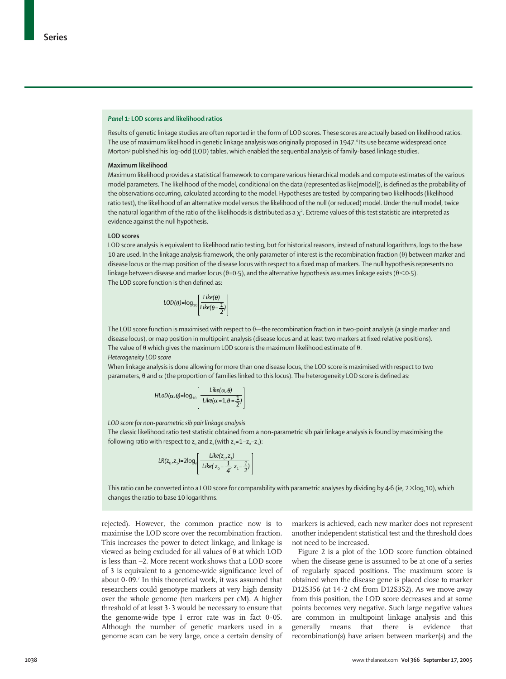#### *Panel 1:* **LOD scores and likelihood ratios**

Results of genetic linkage studies are often reported in the form of LOD scores. These scores are actually based on likelihood ratios. The use of maximum likelihood in genetic linkage analysis was originally proposed in 1947.<sup>4</sup> Its use became widespread once Morton<sup>5</sup> published his log-odd (LOD) tables, which enabled the sequential analysis of family-based linkage studies.

### **Maximum likelihood**

Maximum likelihood provides a statistical framework to compare various hierarchical models and compute estimates of the various model parameters. The likelihood of the model, conditional on the data (represented as like[model]), is defined as the probability of the observations occurring, calculated according to the model. Hypotheses are tested by comparing two likelihoods (likelihood ratio test), the likelihood of an alternative model versus the likelihood of the null (or reduced) model. Under the null model, twice the natural logarithm of the ratio of the likelihoods is distributed as a  $\chi^2$ . Extreme values of this test statistic are interpreted as evidence against the null hypothesis.

#### **LOD scores**

LOD score analysis is equivalent to likelihood ratio testing, but for historical reasons, instead of natural logarithms, logs to the base 10 are used. In the linkage analysis framework, the only parameter of interest is the recombination fraction ( $\theta$ ) between marker and disease locus or the map position of the disease locus with respect to a fixed map of markers. The null hypothesis represents no linkage between disease and marker locus ( $\theta$ =0·5), and the alternative hypothesis assumes linkage exists ( $\theta$ <0·5). The LOD score function is then defined as:

$$
LOD(\theta) = \log_{10} \left[ \frac{Like(\theta)}{Like(\theta = \frac{1}{2})} \right]
$$

The LOD score function is maximised with respect to  $\theta$ —the recombination fraction in two-point analysis (a single marker and disease locus), or map position in multipoint analysis (disease locus and at least two markers at fixed relative positions). The value of  $\theta$  which gives the maximum LOD score is the maximum likelihood estimate of  $\theta$ .

*Heterogeneity LOD score*

When linkage analysis is done allowing for more than one disease locus, the LOD score is maximised with respect to two parameters,  $\theta$  and  $\alpha$  (the proportion of families linked to this locus). The heterogeneity LOD score is defined as:

 $H \text{LOD}(\alpha, \theta) = \log_{10} \left( \frac{\text{Like}(\alpha, \theta)}{\text{Like}(\alpha = 1, \theta = \frac{1}{2})} \right)$ 

*LOD score for non-parametric sib pair linkage analysis*

The classic likelihood ratio test statistic obtained from a non-parametric sib pair linkage analysis is found by maximising the following ratio with respect to  $z_0$  and  $z_1$  (with  $z_2=1-z_0-z_1$ ):

$$
LR(z_0, z_1) = 2\log_e \left[ \frac{Like(z_0, z_1)}{Like(z_0 = \frac{1}{4}, z_1 = \frac{1}{2})} \right]
$$

This ratio can be converted into a LOD score for comparability with parametric analyses by dividing by 4·6 (ie,  $2\times$ log, 10), which changes the ratio to base 10 logarithms.

rejected). However, the common practice now is to maximise the LOD score over the recombination fraction. This increases the power to detect linkage, and linkage is viewed as being excluded for all values of  $\theta$  at which LOD is less than –2. More recent work shows that a LOD score of 3 is equivalent to a genome-wide significance level of about  $0.09$ .<sup>7</sup> In this theoretical work, it was assumed that researchers could genotype markers at very high density over the whole genome (ten markers per cM). A higher threshold of at least  $3 \cdot 3$  would be necessary to ensure that the genome-wide type I error rate was in fact 0·05. Although the number of genetic markers used in a genome scan can be very large, once a certain density of markers is achieved, each new marker does not represent another independent statistical test and the threshold does not need to be increased.

Figure 2 is a plot of the LOD score function obtained when the disease gene is assumed to be at one of a series of regularly spaced positions. The maximum score is obtained when the disease gene is placed close to marker D12S356 (at  $14.2$  cM from D12S352). As we move away from this position, the LOD score decreases and at some points becomes very negative. Such large negative values are common in multipoint linkage analysis and this generally means that there is evidence that recombination(s) have arisen between marker(s) and the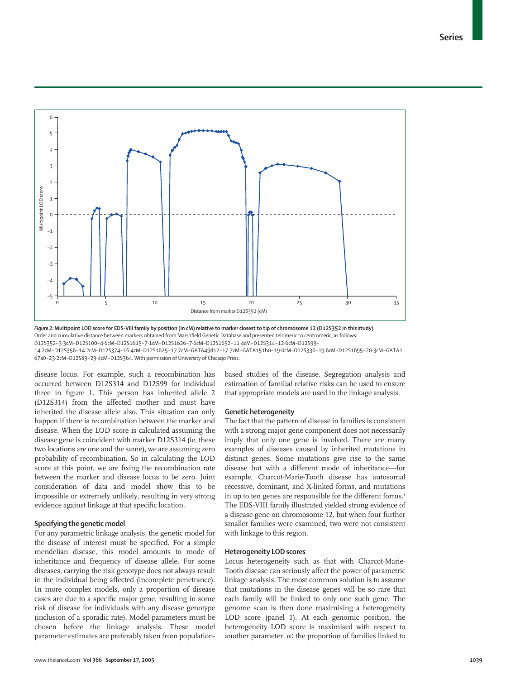

*Figure 2:* **Multipoint LOD score for EDS-VIII family by position (in cM) relative to marker closest to tip of chromosome 12 (D12S352 in this study)** Order and cumulative distance between markers obtained from Marshfield Genetic Database and presented telomeric to centromeric, as follows: D12S352–3·3cM–D12S100–4·6cM–D12S1615–7·1cM–D12S1626–7·6cM–D12S1652–11·4cM–D12S314–12·6cM–D12S99–

14·2cM–D12S356–14·2cM–D12S374–16·4cM–D12S1625–17·7cM–GATA49d12–17·7cM–GATA151h0–19·0cM–D12S336–19·6cM–D12S1695–20·3cM–GATA1 67a0–23·2cM–D12S89–29·4cM–D12S364. With permission of University of Chicago Press.3

disease locus. For example, such a recombination has occurred between D12S314 and D12S99 for individual three in figure 1. This person has inherited allele 2 (D12S314) from the affected mother and must have inherited the disease allele also. This situation can only happen if there is recombination between the marker and disease. When the LOD score is calculated assuming the disease gene is coincident with marker D12S314 (ie, these two locations are one and the same), we are assuming zero probability of recombination. So in calculating the LOD score at this point, we are fixing the recombination rate between the marker and disease locus to be zero. Joint consideration of data and model show this to be impossible or extremely unlikely, resulting in very strong evidence against linkage at that specific location.

# **Specifying the genetic model**

For any parametric linkage analysis, the genetic model for the disease of interest must be specified. For a simple mendelian disease, this model amounts to mode of inheritance and frequency of disease allele. For some diseases, carrying the risk genotype does not always result in the individual being affected (incomplete penetrance). In more complex models, only a proportion of disease cases are due to a specific major gene, resulting in some risk of disease for individuals with any disease genotype (inclusion of a sporadic rate). Model parameters must be chosen before the linkage analysis. These model parameter estimates are preferably taken from populationbased studies of the disease. Segregation analysis and estimation of familial relative risks can be used to ensure that appropriate models are used in the linkage analysis.

#### **Genetic heterogeneity**

The fact that the pattern of disease in families is consistent with a strong major gene component does not necessarily imply that only one gene is involved. There are many examples of diseases caused by inherited mutations in distinct genes. Some mutations give rise to the same disease but with a different mode of inheritance—for example, Charcot-Marie-Tooth disease has autosomal recessive, dominant, and X-linked forms, and mutations in up to ten genes are responsible for the different forms.<sup>8</sup> The EDS-VIII family illustrated yielded strong evidence of a disease gene on chromosome 12, but when four further smaller families were examined, two were not consistent with linkage to this region.

### **Heterogeneity LOD scores**

Locus heterogeneity such as that with Charcot-Marie-Tooth disease can seriously affect the power of parametric linkage analysis. The most common solution is to assume that mutations in the disease genes will be so rare that each family will be linked to only one such gene. The genome scan is then done maximising a heterogeneity LOD score (panel 1). At each genomic position, the heterogeneity LOD score is maximised with respect to another parameter,  $\alpha$ : the proportion of families linked to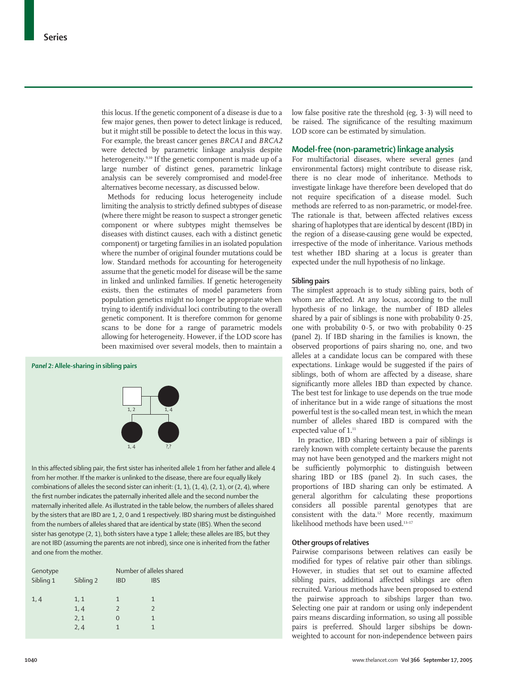this locus. If the genetic component of a disease is due to a few major genes, then power to detect linkage is reduced, but it might still be possible to detect the locus in this way. For example, the breast cancer genes *BRCA1* and *BRCA2* were detected by parametric linkage analysis despite heterogeneity.9,10 If the genetic component is made up of a large number of distinct genes, parametric linkage analysis can be severely compromised and model-free alternatives become necessary, as discussed below.

Methods for reducing locus heterogeneity include limiting the analysis to strictly defined subtypes of disease (where there might be reason to suspect a stronger genetic component or where subtypes might themselves be diseases with distinct causes, each with a distinct genetic component) or targeting families in an isolated population where the number of original founder mutations could be low. Standard methods for accounting for heterogeneity assume that the genetic model for disease will be the same in linked and unlinked families. If genetic heterogeneity exists, then the estimates of model parameters from population genetics might no longer be appropriate when trying to identify individual loci contributing to the overall genetic component. It is therefore common for genome scans to be done for a range of parametric models allowing for heterogeneity. However, if the LOD score has been maximised over several models, then to maintain a

#### *Panel 2:* **Allele-sharing in sibling pairs**



In this affected sibling pair, the first sister has inherited allele 1 from her father and allele 4 from her mother. If the marker is unlinked to the disease, there are four equally likely combinations of alleles the second sister can inherit:  $(1, 1)$ ,  $(1, 4)$ ,  $(2, 1)$ , or  $(2, 4)$ , where the first number indicates the paternally inherited allele and the second number the maternally inherited allele. As illustrated in the table below, the numbers of alleles shared by the sisters that are IBD are 1, 2, 0 and 1 respectively. IBD sharing must be distinguished from the numbers of alleles shared that are identical by state (IBS). When the second sister has genotype (2, 1), both sisters have a type 1 allele; these alleles are IBS, but they are not IBD (assuming the parents are not inbred), since one is inherited from the father and one from the mother.

| Genotype<br>Sibling 1 | Sibling 2 | <b>IBD</b>     | Number of alleles shared<br><b>IBS</b> |
|-----------------------|-----------|----------------|----------------------------------------|
| 1,4                   | 1, 1      | 1              | 1                                      |
|                       | 1,4       | $\overline{2}$ | 2                                      |
|                       | 2, 1      | O              | 1                                      |
|                       | 2,4       | 1              | 1                                      |

low false positive rate the threshold (eg,  $3 \cdot 3$ ) will need to be raised. The significance of the resulting maximum LOD score can be estimated by simulation.

#### **Model-free (non-parametric) linkage analysis**

For multifactorial diseases, where several genes (and environmental factors) might contribute to disease risk, there is no clear mode of inheritance. Methods to investigate linkage have therefore been developed that do not require specification of a disease model. Such methods are referred to as non-parametric, or model-free. The rationale is that, between affected relatives excess sharing of haplotypes that are identical by descent (IBD) in the region of a disease-causing gene would be expected, irrespective of the mode of inheritance. Various methods test whether IBD sharing at a locus is greater than expected under the null hypothesis of no linkage.

#### **Sibling pairs**

The simplest approach is to study sibling pairs, both of whom are affected. At any locus, according to the null hypothesis of no linkage, the number of IBD alleles shared by a pair of siblings is none with probability 0·25, one with probability 0·5, or two with probability 0·25 (panel 2). If IBD sharing in the families is known, the observed proportions of pairs sharing no, one, and two alleles at a candidate locus can be compared with these expectations. Linkage would be suggested if the pairs of siblings, both of whom are affected by a disease, share significantly more alleles IBD than expected by chance. The best test for linkage to use depends on the true mode of inheritance but in a wide range of situations the most powerful test is the so-called mean test, in which the mean number of alleles shared IBD is compared with the expected value of 1.<sup>11</sup>

In practice, IBD sharing between a pair of siblings is rarely known with complete certainty because the parents may not have been genotyped and the markers might not be sufficiently polymorphic to distinguish between sharing IBD or IBS (panel 2). In such cases, the proportions of IBD sharing can only be estimated. A general algorithm for calculating these proportions considers all possible parental genotypes that are consistent with the data.<sup>12</sup> More recently, maximum likelihood methods have been used.13–17

#### **Other groups of relatives**

Pairwise comparisons between relatives can easily be modified for types of relative pair other than siblings. However, in studies that set out to examine affected sibling pairs, additional affected siblings are often recruited. Various methods have been proposed to extend the pairwise approach to sibships larger than two. Selecting one pair at random or using only independent pairs means discarding information, so using all possible pairs is preferred. Should larger sibships be downweighted to account for non-independence between pairs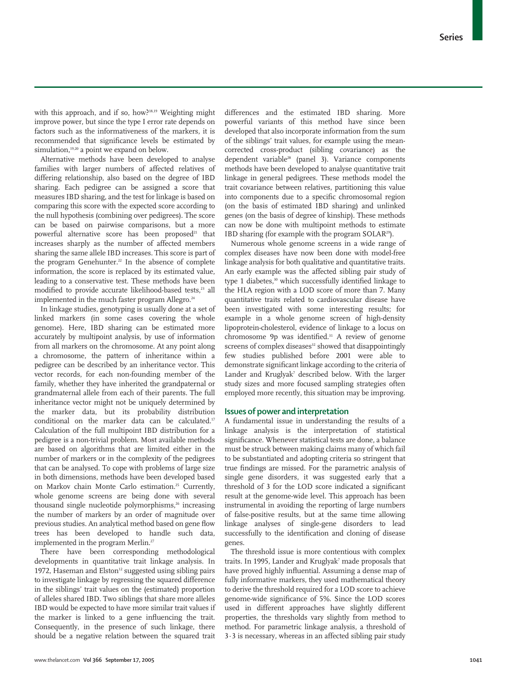with this approach, and if so, how?<sup>18,19</sup> Weighting might improve power, but since the type I error rate depends on factors such as the informativeness of the markers, it is recommended that significance levels be estimated by simulation,<sup>19,20</sup> a point we expand on below.

Alternative methods have been developed to analyse families with larger numbers of affected relatives of differing relationship, also based on the degree of IBD sharing. Each pedigree can be assigned a score that measures IBD sharing, and the test for linkage is based on comparing this score with the expected score according to the null hypothesis (combining over pedigrees). The score can be based on pairwise comparisons, but a more powerful alternative score has been proposed $21$  that increases sharply as the number of affected members sharing the same allele IBD increases. This score is part of the program Genehunter.<sup>22</sup> In the absence of complete information, the score is replaced by its estimated value, leading to a conservative test. These methods have been modified to provide accurate likelihood-based tests,<sup>23</sup> all implemented in the much faster program Allegro.<sup>24</sup>

In linkage studies, genotyping is usually done at a set of linked markers (in some cases covering the whole genome). Here, IBD sharing can be estimated more accurately by multipoint analysis, by use of information from all markers on the chromosome. At any point along a chromosome, the pattern of inheritance within a pedigree can be described by an inheritance vector. This vector records, for each non-founding member of the family, whether they have inherited the grandpaternal or grandmaternal allele from each of their parents. The full inheritance vector might not be uniquely determined by the marker data, but its probability distribution conditional on the marker data can be calculated.17 Calculation of the full multipoint IBD distribution for a pedigree is a non-trivial problem. Most available methods are based on algorithms that are limited either in the number of markers or in the complexity of the pedigrees that can be analysed. To cope with problems of large size in both dimensions, methods have been developed based on Markov chain Monte Carlo estimation.<sup>25</sup> Currently, whole genome screens are being done with several thousand single nucleotide polymorphisms,<sup>26</sup> increasing the number of markers by an order of magnitude over previous studies. An analytical method based on gene flow trees has been developed to handle such data, implemented in the program Merlin.<sup>27</sup>

There have been corresponding methodological developments in quantitative trait linkage analysis. In 1972, Haseman and Elston<sup>12</sup> suggested using sibling pairs to investigate linkage by regressing the squared difference in the siblings' trait values on the (estimated) proportion of alleles shared IBD. Two siblings that share more alleles IBD would be expected to have more similar trait values if the marker is linked to a gene influencing the trait. Consequently, in the presence of such linkage, there should be a negative relation between the squared trait differences and the estimated IBD sharing. More powerful variants of this method have since been developed that also incorporate information from the sum of the siblings' trait values, for example using the meancorrected cross-product (sibling covariance) as the dependent variable<sup>28</sup> (panel 3). Variance components methods have been developed to analyse quantitative trait linkage in general pedigrees. These methods model the trait covariance between relatives, partitioning this value into components due to a specific chromosomal region (on the basis of estimated IBD sharing) and unlinked genes (on the basis of degree of kinship). These methods can now be done with multipoint methods to estimate IBD sharing (for example with the program SOLAR<sup>29</sup>).

Numerous whole genome screens in a wide range of complex diseases have now been done with model-free linkage analysis for both qualitative and quantitative traits. An early example was the affected sibling pair study of type 1 diabetes,<sup>30</sup> which successfully identified linkage to the HLA region with a LOD score of more than 7. Many quantitative traits related to cardiovascular disease have been investigated with some interesting results; for example in a whole genome screen of high-density lipoprotein-cholesterol, evidence of linkage to a locus on chromosome 9p was identified.<sup>31</sup> A review of genome screens of complex diseases<sup>32</sup> showed that disappointingly few studies published before 2001 were able to demonstrate significant linkage according to the criteria of Lander and Kruglyak<sup>7</sup> described below. With the larger study sizes and more focused sampling strategies often employed more recently, this situation may be improving.

## **Issues of power and interpretation**

A fundamental issue in understanding the results of a linkage analysis is the interpretation of statistical significance. Whenever statistical tests are done, a balance must be struck between making claims many of which fail to be substantiated and adopting criteria so stringent that true findings are missed. For the parametric analysis of single gene disorders, it was suggested early that a threshold of 3 for the LOD score indicated a significant result at the genome-wide level. This approach has been instrumental in avoiding the reporting of large numbers of false-positive results, but at the same time allowing linkage analyses of single-gene disorders to lead successfully to the identification and cloning of disease genes.

The threshold issue is more contentious with complex traits. In 1995, Lander and Kruglyak<sup>7</sup> made proposals that have proved highly influential. Assuming a dense map of fully informative markers, they used mathematical theory to derive the threshold required for a LOD score to achieve genome-wide significance of 5%. Since the LOD scores used in different approaches have slightly different properties, the thresholds vary slightly from method to method. For parametric linkage analysis, a threshold of 3·3 is necessary, whereas in an affected sibling pair study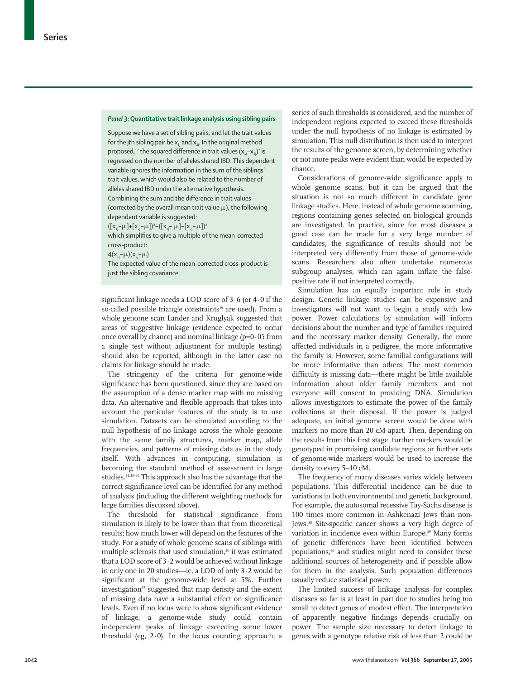# *Panel 3:***Quantitative trait linkage analysis using sibling pairs**

Suppose we have a set of sibling pairs, and let the trait values for the jth sibling pair be  $x_{1i}$  and  $x_{2i}$ . In the original method proposed, $^{12}$  the squared difference in trait values  $(\mathsf{x}_{\scriptscriptstyle{1\mathbf{j}}}\text{-}\mathsf{x}_{\scriptscriptstyle{2\mathbf{j}}})^2$  is regressed on the number of alleles shared IBD. This dependent variable ignores the information in the sum of the siblings' trait values, which would also be related to the number of alleles shared IBD under the alternative hypothesis. Combining the sum and the difference in trait values (corrected by the overall mean trait value  $\mu$ ), the following dependent variable is suggested:  $([x_{ij}-\mu]+[x_{2j}-\mu])^2-([x_{1j}-\mu]-[x_{2j}-\mu])^2$ which simplifies to give a multiple of the mean-corrected cross-product:  $4(x_i-\mu)(x_i-\mu)$ The expected value of the mean-corrected cross-product is just the sibling covariance.

significant linkage needs a LOD score of 3·6 (or 4·0 if the so-called possible triangle constraints<sup>16</sup> are used). From a whole genome scan Lander and Kruglyak suggested that areas of suggestive linkage (evidence expected to occur once overall by chance) and nominal linkage ( $p=0.05$  from a single test without adjustment for multiple testing) should also be reported, although in the latter case no claims for linkage should be made.

The stringency of the criteria for genome-wide significance has been questioned, since they are based on the assumption of a dense marker map with no missing data. An alternative and flexible approach that takes into account the particular features of the study is to use simulation. Datasets can be simulated according to the null hypothesis of no linkage across the whole genome with the same family structures, marker map, allele frequencies, and patterns of missing data as in the study itself. With advances in computing, simulation is becoming the standard method of assessment in large studies.<sup>31,33–36</sup> This approach also has the advantage that the correct significance level can be identified for any method of analysis (including the different weighting methods for large families discussed above).

The threshold for statistical significance from simulation is likely to be lower than that from theoretical results; how much lower will depend on the features of the study. For a study of whole genome scans of siblings with multiple sclerosis that used simulation,<sup>20</sup> it was estimated that a LOD score of 3·2 would be achieved without linkage in only one in 20 studies—ie, a LOD of only 3·2 would be significant at the genome-wide level at 5%. Further investigation<sup>37</sup> suggested that map density and the extent of missing data have a substantial effect on significance levels. Even if no locus were to show significant evidence of linkage, a genome-wide study could contain independent peaks of linkage exceeding some lower threshold (eg, 2·0). In the locus counting approach, a

series of such thresholds is considered, and the number of independent regions expected to exceed these thresholds under the null hypothesis of no linkage is estimated by simulation. This null distribution is then used to interpret the results of the genome screen, by determining whether or not more peaks were evident than would be expected by chance.

Considerations of genome-wide significance apply to whole genome scans, but it can be argued that the situation is not so much different in candidate gene linkage studies. Here, instead of whole genome scanning, regions containing genes selected on biological grounds are investigated. In practice, since for most diseases a good case can be made for a very large number of candidates, the significance of results should not be interpreted very differently from those of genome-wide scans. Researchers also often undertake numerous subgroup analyses, which can again inflate the falsepositive rate if not interpreted correctly.

Simulation has an equally important role in study design. Genetic linkage studies can be expensive and investigators will not want to begin a study with low power. Power calculations by simulation will inform decisions about the number and type of families required and the necessary marker density. Generally, the more affected individuals in a pedigree, the more informative the family is. However, some familial configurations will be more informative than others. The most common difficulty is missing data—there might be little available information about older family members and not everyone will consent to providing DNA. Simulation allows investigators to estimate the power of the family collections at their disposal. If the power is judged adequate, an initial genome screen would be done with markers no more than 20 cM apart. Then, depending on the results from this first stage, further markers would be genotyped in promising candidate regions or further sets of genome-wide markers would be used to increase the density to every 5–10 cM.

The frequency of many diseases varies widely between populations. This differential incidence can be due to variations in both environmental and genetic background. For example, the autosomal recessive Tay-Sachs disease is 100 times more common in Ashkenazi Jews than non-Jews.38 Site-specific cancer shows a very high degree of variation in incidence even within Europe.<sup>39</sup> Many forms of genetic differences have been identified between populations,<sup>40</sup> and studies might need to consider these additional sources of heterogeneity and if possible allow for them in the analysis. Such population differences usually reduce statistical power.

The limited success of linkage analysis for complex diseases so far is at least in part due to studies being too small to detect genes of modest effect. The interpretation of apparently negative findings depends crucially on power. The sample size necessary to detect linkage to genes with a genotype relative risk of less than 2 could be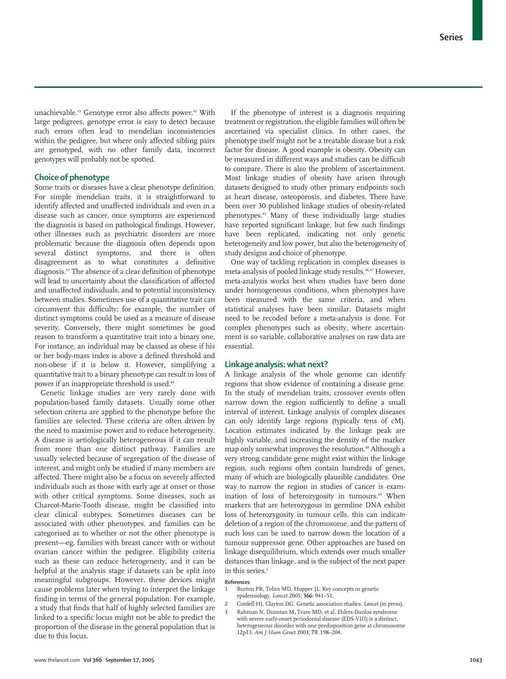unachievable.<sup>41</sup> Genotype error also affects power.<sup>42</sup> With large pedigrees, genotype error is easy to detect because such errors often lead to mendelian inconsistencies within the pedigree, but where only affected sibling pairs are genotyped, with no other family data, incorrect genotypes will probably not be spotted.

# **Choice of phenotype**

Some traits or diseases have a clear phenotype definition. For simple mendelian traits, it is straightforward to identify affected and unaffected individuals and even in a disease such as cancer, once symptoms are experienced the diagnosis is based on pathological findings. However, other illnesses such as psychiatric disorders are more problematic because the diagnosis often depends upon several distinct symptoms, and there is often disagreement as to what constitutes a definitive diagnosis.43 The absence of a clear definition of phenotype will lead to uncertainty about the classification of affected and unaffected individuals, and to potential inconsistency between studies. Sometimes use of a quantitative trait can circumvent this difficulty; for example, the number of distinct symptoms could be used as a measure of disease severity. Conversely, there might sometimes be good reason to transform a quantitative trait into a binary one. For instance, an individual may be classed as obese if his or her body-mass index is above a defined threshold and non-obese if it is below it. However, simplifying a quantitative trait to a binary phenotype can result in loss of power if an inappropriate threshold is used.<sup>44</sup>

Genetic linkage studies are very rarely done with population-based family datasets. Usually some other selection criteria are applied to the phenotype before the families are selected. These criteria are often driven by the need to maximise power and to reduce heterogeneity. A disease is aetiologically heterogeneous if it can result from more than one distinct pathway. Families are usually selected because of segregation of the disease of interest, and might only be studied if many members are affected. There might also be a focus on severely affected individuals such as those with early age at onset or those with other critical symptoms. Some diseases, such as Charcot-Marie-Tooth disease, might be classified into clear clinical subtypes. Sometimes diseases can be associated with other phenotypes, and families can be categorised as to whether or not the other phenotype is present—eg, families with breast cancer with or without ovarian cancer within the pedigree. Eligibility criteria such as these can reduce heterogeneity, and it can be helpful at the analysis stage if datasets can be split into meaningful subgroups. However, these devices might cause problems later when trying to interpret the linkage finding in terms of the general population. For example, a study that finds that half of highly selected families are linked to a specific locus might not be able to predict the proportion of the disease in the general population that is due to this locus.

If the phenotype of interest is a diagnosis requiring treatment or registration, the eligible families will often be ascertained via specialist clinics. In other cases, the phenotype itself might not be a treatable disease but a risk factor for disease. A good example is obesity. Obesity can be measured in different ways and studies can be difficult to compare. There is also the problem of ascertainment. Most linkage studies of obesity have arisen through datasets designed to study other primary endpoints such as heart disease, osteoporosis, and diabetes. There have been over 30 published linkage studies of obesity-related phenotypes.45 Many of these individually large studies have reported significant linkage, but few such findings have been replicated, indicating not only genetic heterogeneity and low power, but also the heterogeneity of study designs and choice of phenotype.

One way of tackling replication in complex diseases is meta-analysis of pooled linkage study results.46,47 However, meta-analysis works best when studies have been done under homogeneous conditions, when phenotypes have been measured with the same criteria, and when statistical analyses have been similar. Datasets might need to be recoded before a meta-analysis is done. For complex phenotypes such as obesity, where ascertainment is so variable, collaborative analyses on raw data are essential.

# **Linkage analysis: what next?**

A linkage analysis of the whole genome can identify regions that show evidence of containing a disease gene. In the study of mendelian traits, crossover events often narrow down the region sufficiently to define a small interval of interest. Linkage analysis of complex diseases can only identify large regions (typically tens of cM). Location estimates indicated by the linkage peak are highly variable, and increasing the density of the marker map only somewhat improves the resolution.<sup>48</sup> Although a very strong candidate gene might exist within the linkage region, such regions often contain hundreds of genes, many of which are biologically plausible candidates. One way to narrow the region in studies of cancer is examination of loss of heterozygosity in tumours.<sup>49</sup> When markers that are heterozygous in germline DNA exhibit loss of heterozygosity in tumour cells, this can indicate deletion of a region of the chromosome, and the pattern of such loss can be used to narrow down the location of a tumour suppressor gene. Other approaches are based on linkage disequilibrium, which extends over much smaller distances than linkage, and is the subject of the next paper in this series.<sup>2</sup>

#### **References**

- 1 Burton PR, Tobin MD, Hopper JL. Key concepts in genetic epidemiology. *Lancet* 2005; **366:** 941–51.
- 2 Cordell HJ, Clayton DG. Genetic association studies. *Lancet* (in press). 3 Rahman N, Dunstan M, Teare MD, et al. Ehlers-Danlos syndrome
- with severe early-onset periodontal disease (EDS-VIII) is a distinct, heterogeneous disorder with one predisposition gene at chromosome 12p13. *Am J Hum Genet* 2003; **73:** 198–204.